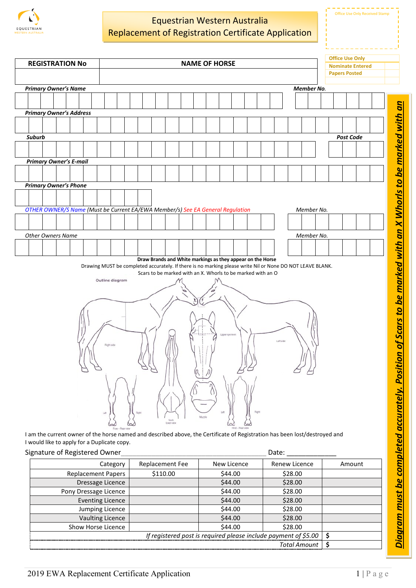

## Equestrian Western Australia Replacement of Registration Certificate Application

Office Use Only

|                                                                                |                                                                                                           |                                                             |        |                 |              |                         |                      |  |  | <b>Office Use Only</b> |  |
|--------------------------------------------------------------------------------|-----------------------------------------------------------------------------------------------------------|-------------------------------------------------------------|--------|-----------------|--------------|-------------------------|----------------------|--|--|------------------------|--|
| <b>REGISTRATION No</b><br><b>NAME OF HORSE</b>                                 |                                                                                                           |                                                             |        |                 |              | <b>Nominate Entered</b> |                      |  |  |                        |  |
|                                                                                |                                                                                                           |                                                             |        |                 |              |                         | <b>Papers Posted</b> |  |  |                        |  |
| <b>Primary Owner's Name</b><br>Member No.                                      |                                                                                                           |                                                             |        |                 |              |                         |                      |  |  |                        |  |
|                                                                                |                                                                                                           |                                                             |        |                 |              |                         |                      |  |  |                        |  |
|                                                                                |                                                                                                           |                                                             |        |                 |              |                         |                      |  |  |                        |  |
| <b>Primary Owner's Address</b>                                                 |                                                                                                           |                                                             |        |                 |              |                         |                      |  |  |                        |  |
|                                                                                |                                                                                                           |                                                             |        |                 |              |                         |                      |  |  |                        |  |
| Suburb                                                                         |                                                                                                           |                                                             |        |                 |              |                         |                      |  |  | Post Code              |  |
|                                                                                |                                                                                                           |                                                             |        |                 |              |                         |                      |  |  |                        |  |
|                                                                                |                                                                                                           |                                                             |        |                 |              |                         |                      |  |  |                        |  |
| <b>Primary Owner's E-mail</b>                                                  |                                                                                                           |                                                             |        |                 |              |                         |                      |  |  |                        |  |
|                                                                                |                                                                                                           |                                                             |        |                 |              |                         |                      |  |  |                        |  |
| <b>Primary Owner's Phone</b>                                                   |                                                                                                           |                                                             |        |                 |              |                         |                      |  |  |                        |  |
|                                                                                |                                                                                                           |                                                             |        |                 |              |                         |                      |  |  |                        |  |
| OTHER OWNER/S Name (Must be Current EA/EWA Member/s) See EA General Regulation |                                                                                                           |                                                             |        |                 |              |                         | Member No.           |  |  |                        |  |
|                                                                                |                                                                                                           |                                                             |        |                 |              |                         |                      |  |  |                        |  |
|                                                                                |                                                                                                           |                                                             |        |                 |              |                         |                      |  |  |                        |  |
| <b>Other Owners Name</b>                                                       |                                                                                                           |                                                             |        |                 |              |                         | Member No.           |  |  |                        |  |
|                                                                                |                                                                                                           |                                                             |        |                 |              |                         |                      |  |  |                        |  |
| Draw Brands and White markings as they appear on the Horse                     |                                                                                                           |                                                             |        |                 |              |                         |                      |  |  |                        |  |
|                                                                                | Drawing MUST be completed accurately. If there is no marking please write Nil or None DO NOT LEAVE BLANK. |                                                             |        |                 |              |                         |                      |  |  |                        |  |
|                                                                                |                                                                                                           | Scars to be marked with an X. Whorls to be marked with an O |        |                 |              |                         |                      |  |  |                        |  |
|                                                                                | Outline diagram                                                                                           |                                                             |        |                 |              |                         |                      |  |  |                        |  |
|                                                                                |                                                                                                           |                                                             |        |                 |              |                         |                      |  |  |                        |  |
|                                                                                |                                                                                                           |                                                             |        |                 |              |                         |                      |  |  |                        |  |
|                                                                                |                                                                                                           |                                                             |        |                 |              |                         |                      |  |  |                        |  |
|                                                                                |                                                                                                           |                                                             |        |                 |              |                         |                      |  |  |                        |  |
|                                                                                |                                                                                                           |                                                             |        | Upper eye level |              |                         |                      |  |  |                        |  |
| Letsde<br>Rightside                                                            |                                                                                                           |                                                             |        |                 |              |                         |                      |  |  |                        |  |
|                                                                                |                                                                                                           |                                                             |        |                 |              |                         |                      |  |  |                        |  |
|                                                                                |                                                                                                           |                                                             |        |                 |              |                         |                      |  |  |                        |  |
| 9,9                                                                            |                                                                                                           |                                                             |        |                 |              |                         |                      |  |  |                        |  |
|                                                                                |                                                                                                           |                                                             |        |                 |              |                         |                      |  |  |                        |  |
|                                                                                |                                                                                                           |                                                             |        |                 |              |                         |                      |  |  |                        |  |
|                                                                                |                                                                                                           |                                                             |        |                 |              |                         |                      |  |  |                        |  |
|                                                                                | Right                                                                                                     |                                                             |        | Let             | <b>Right</b> |                         |                      |  |  |                        |  |
|                                                                                | Let                                                                                                       | Neck                                                        | Muzzle |                 |              |                         |                      |  |  |                        |  |
|                                                                                | lowerview<br>$\scriptstyle\sim$<br>Hind-Rearview<br>Fore-Rearview                                         |                                                             |        |                 |              |                         |                      |  |  |                        |  |

I am the current owner of the horse named and described above, the Certificate of Registration has been lost/destroyed and I would like to apply for a Duplicate copy.

## Signature of Registered Owner example and the set of Date:

| Category                  | <b>Replacement Fee</b>                                          | New Licence | Renew Licence       | Amount |  |  |
|---------------------------|-----------------------------------------------------------------|-------------|---------------------|--------|--|--|
| <b>Replacement Papers</b> | \$110.00                                                        | \$44.00     | \$28.00             |        |  |  |
| Dressage Licence          |                                                                 | \$44.00     | \$28.00             |        |  |  |
| Pony Dressage Licence     |                                                                 | \$44.00     | \$28.00             |        |  |  |
| <b>Eventing Licence</b>   |                                                                 | \$44.00     | \$28.00             |        |  |  |
| Jumping Licence           |                                                                 | \$44.00     | \$28.00             |        |  |  |
| <b>Vaulting Licence</b>   |                                                                 | \$44.00     | \$28.00             |        |  |  |
| Show Horse Licence        |                                                                 | \$44.00     | \$28.00             |        |  |  |
|                           | If registered post is required please include payment of \$5.00 |             |                     |        |  |  |
|                           |                                                                 |             | <b>Total Amount</b> |        |  |  |